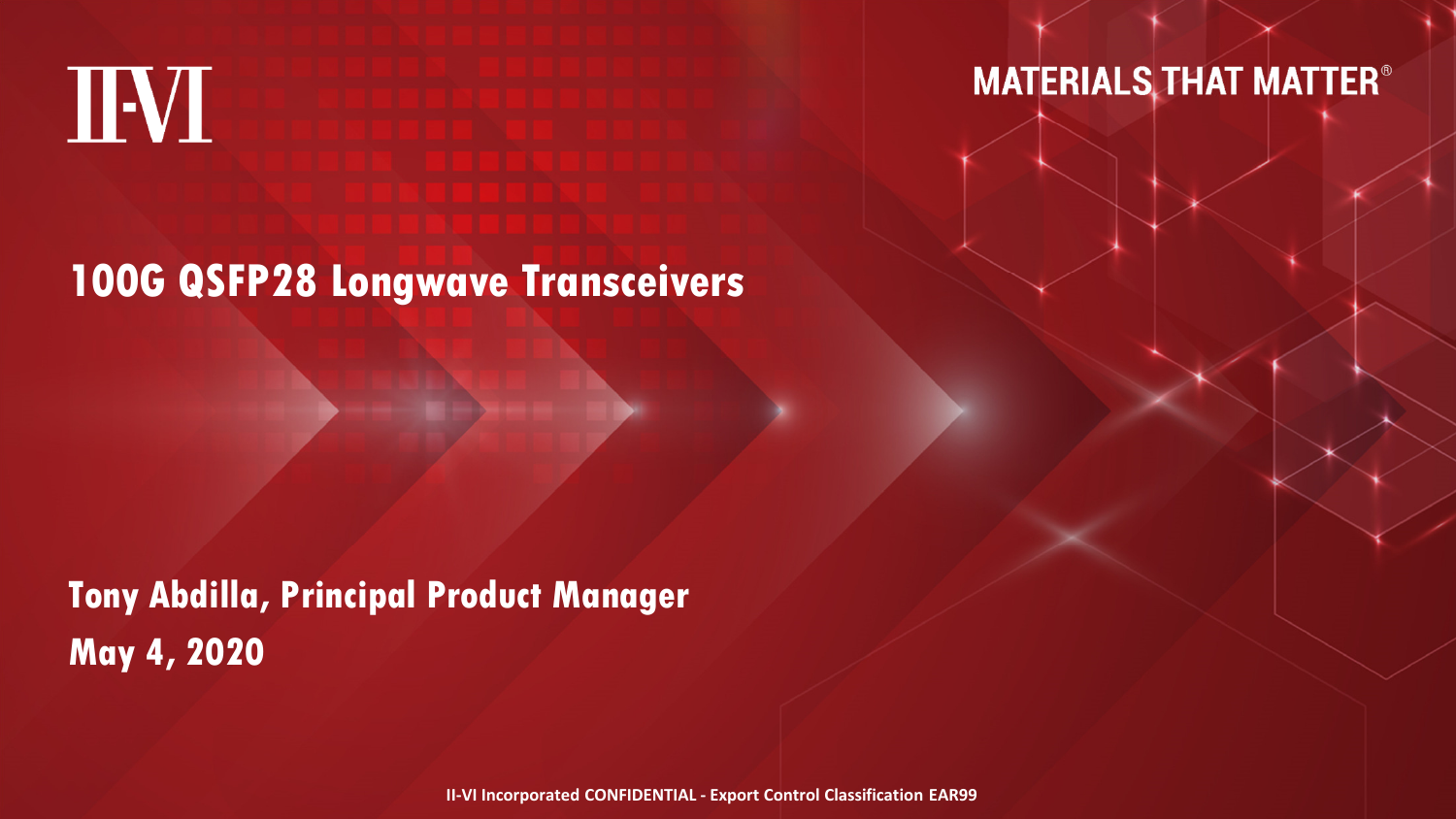

**MATERIALS THAT MATTER®** 

**100G QSFP28 Longwave Transceivers**

**Tony Abdilla, Principal Product ManagerMay 4, 2020**

**II-VI Incorporated CONFIDENTIAL - Export Control Classification EAR99**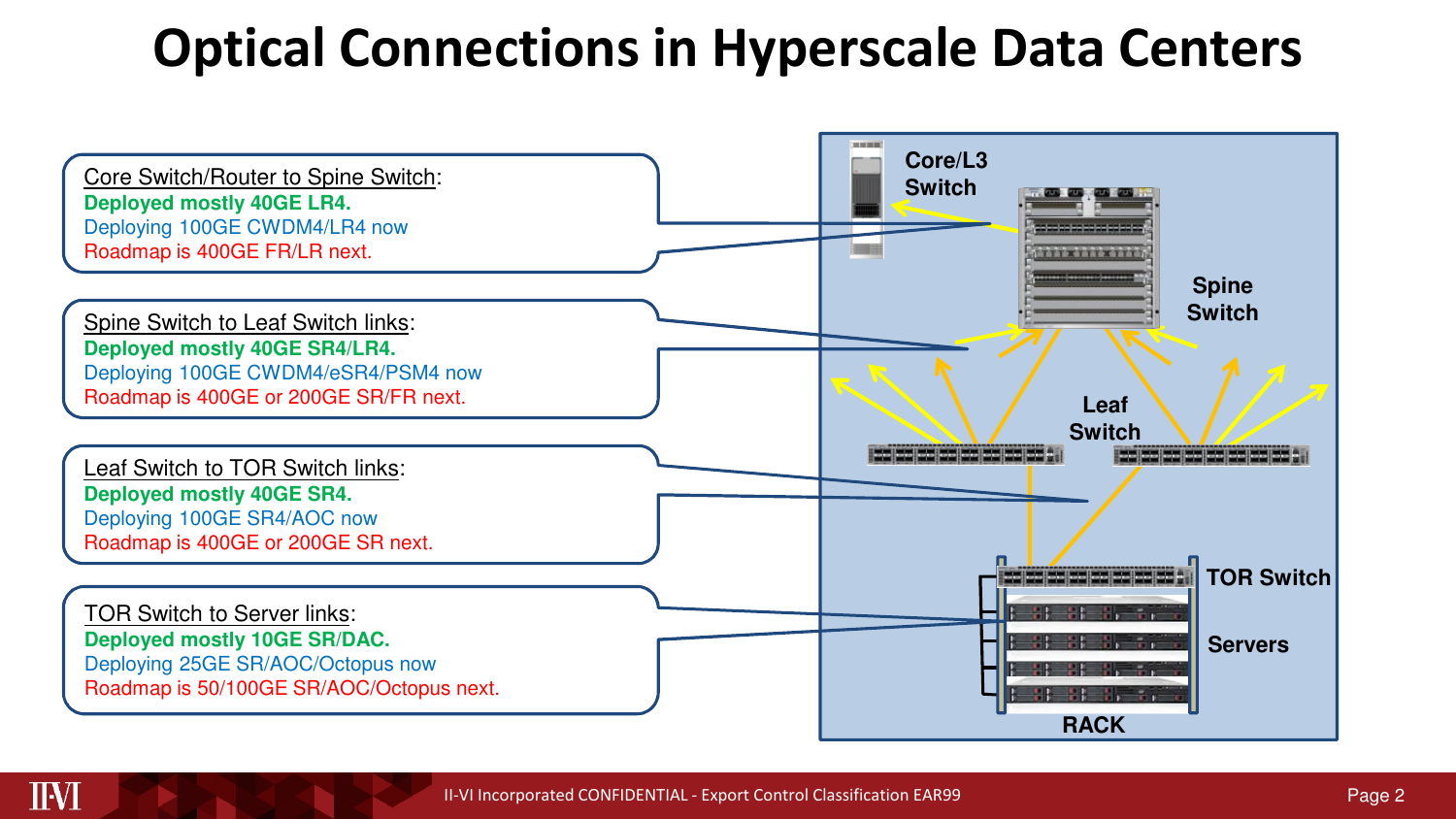### **Optical Connections in Hyperscale Data Centers**



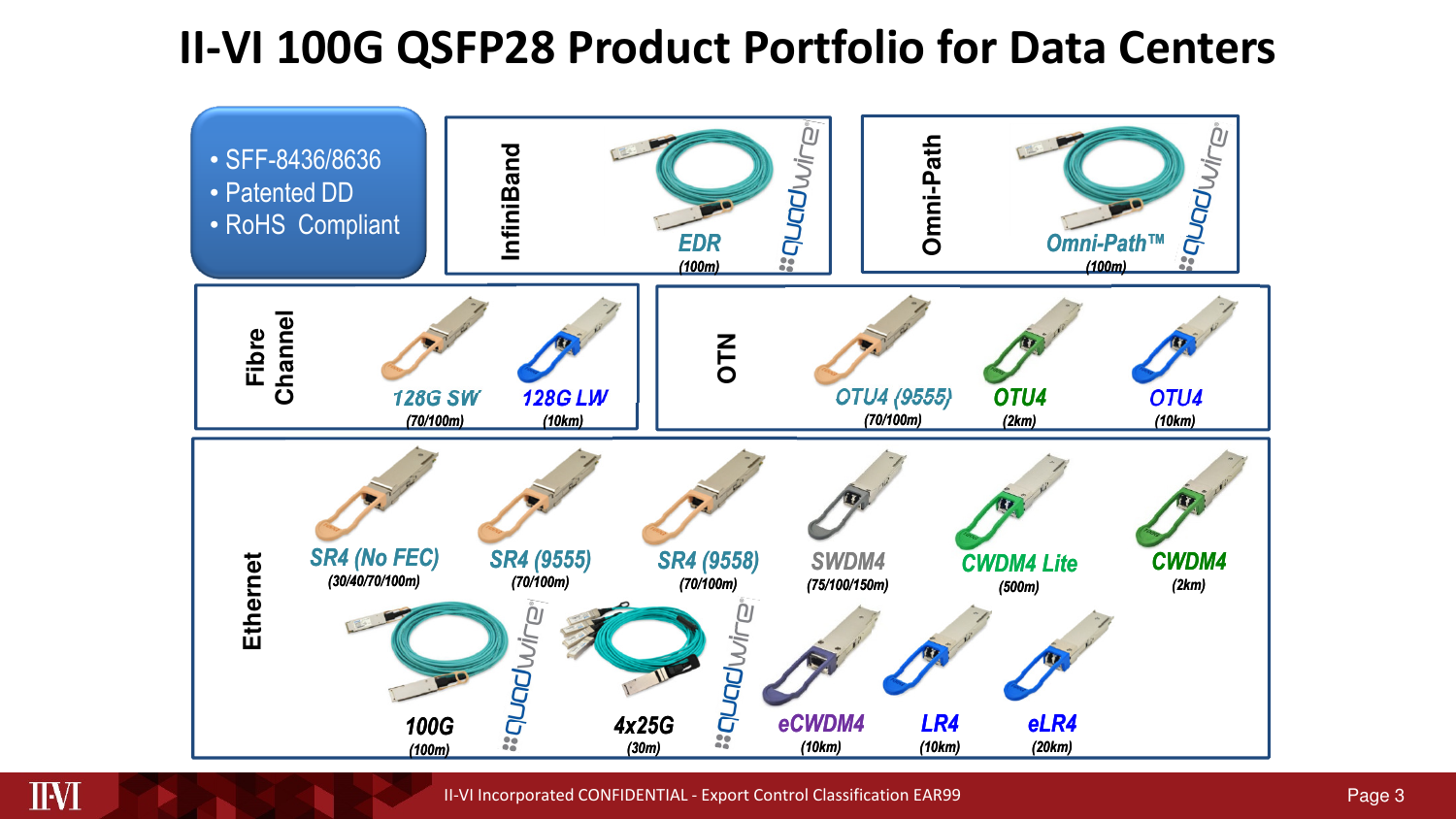### **II-VI 100G QSFP28 Product Portfolio for Data Centers**

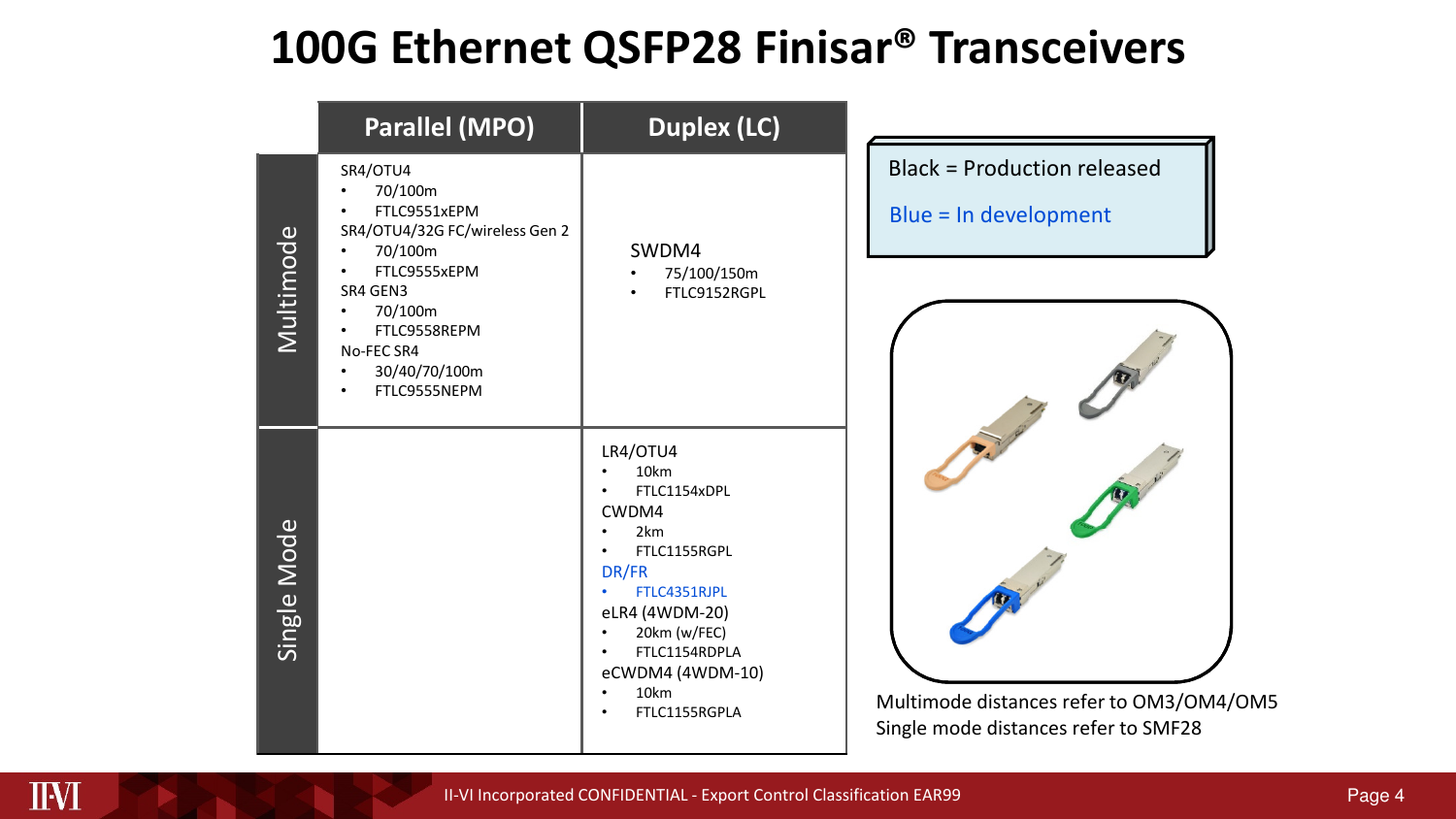### **100G Ethernet QSFP28 Finisar® Transceivers**

|             | <b>Parallel (MPO)</b>                                                                                                                                                                               | <b>Duplex (LC)</b>                                                                                                                                                                             |                                                                                  |
|-------------|-----------------------------------------------------------------------------------------------------------------------------------------------------------------------------------------------------|------------------------------------------------------------------------------------------------------------------------------------------------------------------------------------------------|----------------------------------------------------------------------------------|
| Multimode   | SR4/OTU4<br>70/100m<br>FTLC9551xEPM<br>SR4/OTU4/32G FC/wireless Gen 2<br>70/100m<br>FTLC9555xEPM<br>SR4 GEN3<br>70/100m<br>$\bullet$<br>FTLC9558REPM<br>No-FEC SR4<br>30/40/70/100m<br>FTLC9555NEPM | SWDM4<br>75/100/150m<br>FTLC9152RGPL                                                                                                                                                           | <b>Black = Production released</b><br>Blue = In development                      |
| Single Mode |                                                                                                                                                                                                     | LR4/OTU4<br>10km<br>FTLC1154xDPL<br>CWDM4<br>2km<br>FTLC1155RGPL<br>DR/FR<br>FTLC4351RJPL<br>eLR4 (4WDM-20)<br>20km (w/FEC)<br>FTLC1154RDPLA<br>eCWDM4 (4WDM-10)<br>10km<br>FTLC1155RGPLA<br>٠ | Multimode distances refer to OM3/OM4/OM5<br>Single mode distances refer to SMF28 |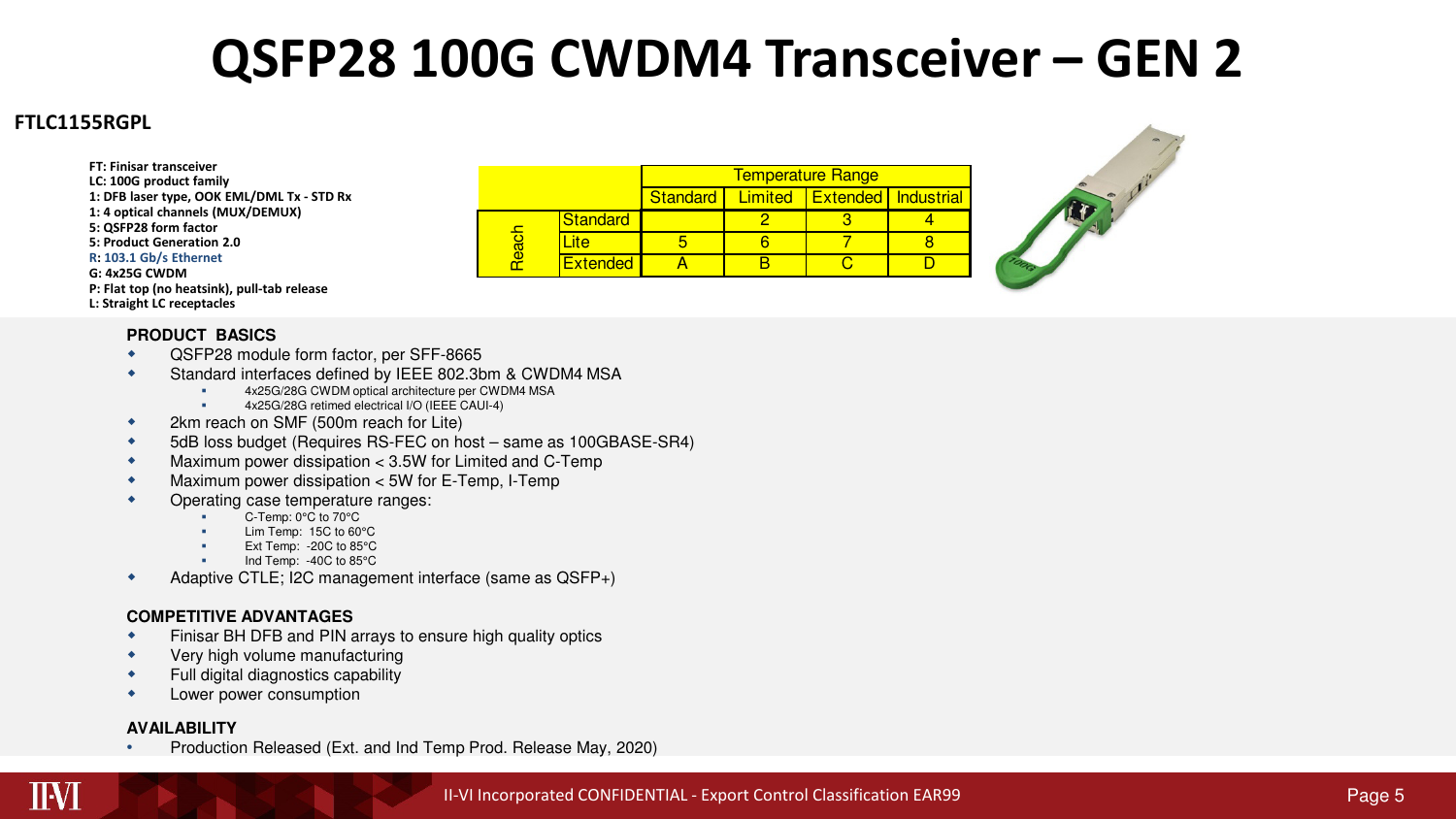## **QSFP28 100G CWDM4 Transceiver – GEN 2**

#### **FTLC1155RGPL**

**LC: 100G product family 1: DFB laser type, OOK EML/DML Tx - STD Rx 1: 4 optical channels (MUX/DEMUX) 5: QSFP28 form factor 5: Product Generation 2.0R: 103.1 Gb/s EthernetG: 4x25G CWDM P: Flat top (no heatsink), pull-tab releaseL: Straight LC receptacles**

**FT: Finisar transceiver**

#### **PRODUCT BASICS**

-

- QSFP28 module form factor, per SFF-8665  $\bullet$
- $\bullet$  Standard interfaces defined by IEEE 802.3bm & CWDM4 MSA
	- 4x25G/28G CWDM optical architecture per CWDM4 MSA
	- 4x25G/28G retimed electrical I/O (IEEE CAUI-4)
- $\bullet$ 2km reach on SMF (500m reach for Lite)
- $\bullet$ 5dB loss budget (Requires RS-FEC on host – same as 100GBASE-SR4)
- $\bullet$ Maximum power dissipation < 3.5W for Limited and C-Temp
- $\bullet$ Maximum power dissipation < 5W for E-Temp, I-Temp
- ٠ Operating case temperature ranges:
	- C-Temp: 0°C to 70°C
	- Lim Temp: 15C to 60°C
	- Ext Temp: -20C to 85°C
	- Ind Temp: -40C to 85°C
- Adaptive CTLE; I2C management interface (same as QSFP+)  $\bullet$

#### **COMPETITIVE ADVANTAGES**

- Finisar BH DFB and PIN arrays to ensure high quality optics  $\blacktriangle$
- $\bullet$ Very high volume manufacturing
- $\bullet$ Full digital diagnostics capability
- × Lower power consumption

#### **AVAILABILITY**

 Production Released (Ext. and Ind Temp Prod. Release May, 2020) •

|      |                 | <b>Temperature Range</b> |         |                                |  |  |
|------|-----------------|--------------------------|---------|--------------------------------|--|--|
|      |                 | <b>Standard</b>          | Limited | <b>I</b> Extended I Industrial |  |  |
|      | <b>Standard</b> |                          |         |                                |  |  |
| eacl | лe              |                          |         |                                |  |  |
|      | <b>Extended</b> |                          |         |                                |  |  |

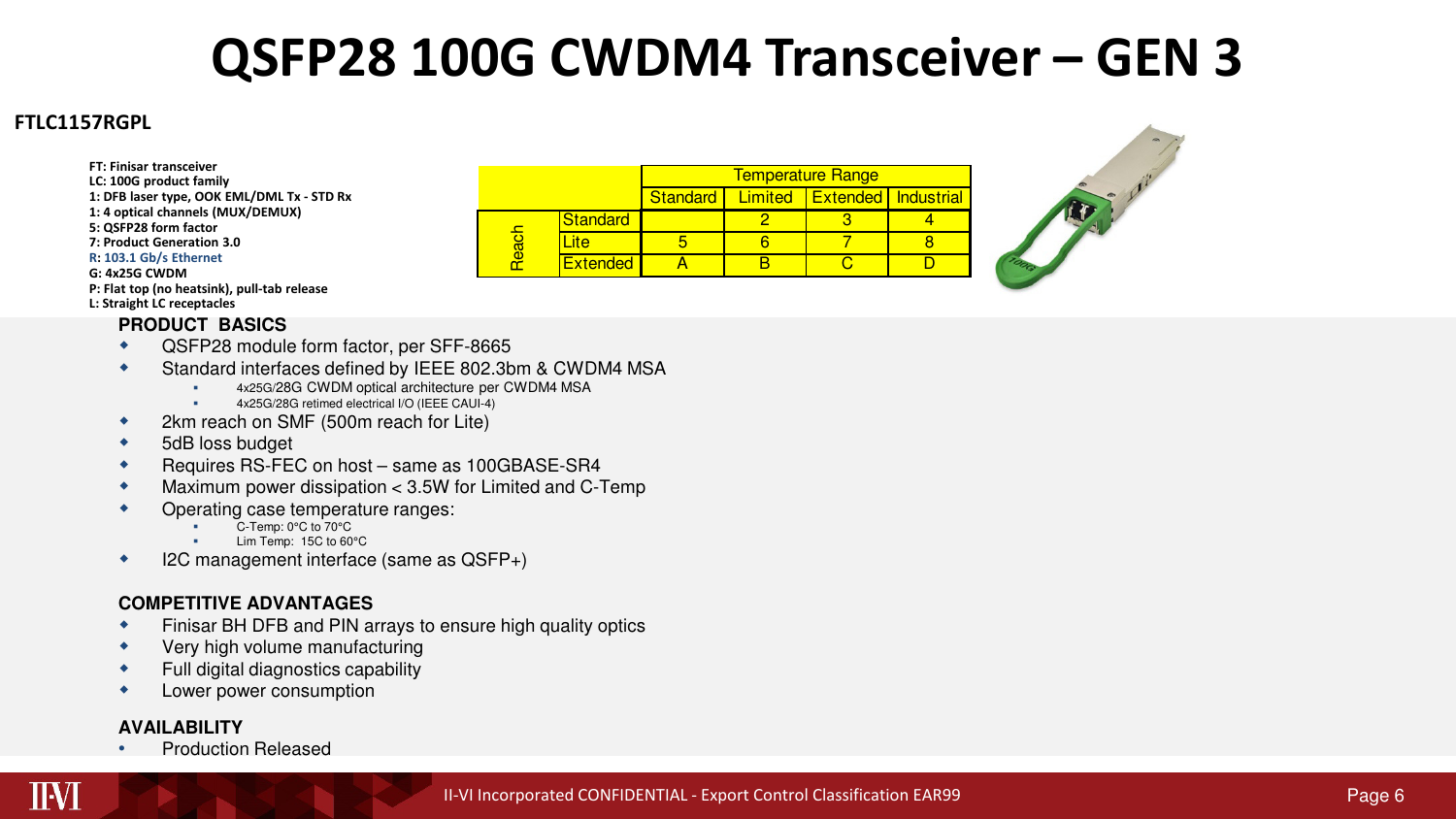# **QSFP28 100G CWDM4 Transceiver – GEN 3**

#### **FTLC1157RGPL**

**FT: Finisar transceiver**

- **LC: 100G product family**
- **1: DFB laser type, OOK EML/DML Tx - STD Rx**
- **1: 4 optical channels (MUX/DEMUX)**
- **5: QSFP28 form factor**
- **7: Product Generation 3.0**
- **R: 103.1 Gb/s Ethernet**
- **G: 4x25G CWDM**

#### **P: Flat top (no heatsink), pull-tab release**

#### **L: Straight LC receptacles**

#### **PRODUCT BASICS**

- QSFP28 module form factor, per SFF-8665 ٠
- $\bullet$  Standard interfaces defined by IEEE 802.3bm & CWDM4 MSA
	- 4x25G/28G CWDM optical architecture per CWDM4 MSA
	- 4x25G/28G retimed electrical I/O (IEEE CAUI-4)
- ٠ 2km reach on SMF (500m reach for Lite)
- $\blacklozenge$ 5dB loss budget

-

- $\bullet$ Requires RS-FEC on host – same as 100GBASE-SR4
- $\bullet$ Maximum power dissipation < 3.5W for Limited and C-Temp
- ٠ Operating case temperature ranges:
	- C-Temp: 0°C to 70°C
	- Lim Temp: 15C to 60°C
- I2C management interface (same as QSFP+) ٠

#### **COMPETITIVE ADVANTAGES**

- Finisar BH DFB and PIN arrays to ensure high quality optics ٠
- ٠ Very high volume manufacturing
- ٠ Full digital diagnostics capability
- ٠ Lower power consumption

#### **AVAILABILITY**

• Production Released •

|     |                 | <b>Temperature Range</b> |  |                             |  |  |
|-----|-----------------|--------------------------|--|-----------------------------|--|--|
|     |                 | <b>Standard</b>          |  | Limited Extended Industrial |  |  |
|     | <b>Standard</b> |                          |  |                             |  |  |
| ead | лe              |                          |  |                             |  |  |
|     | <b>Extended</b> |                          |  |                             |  |  |

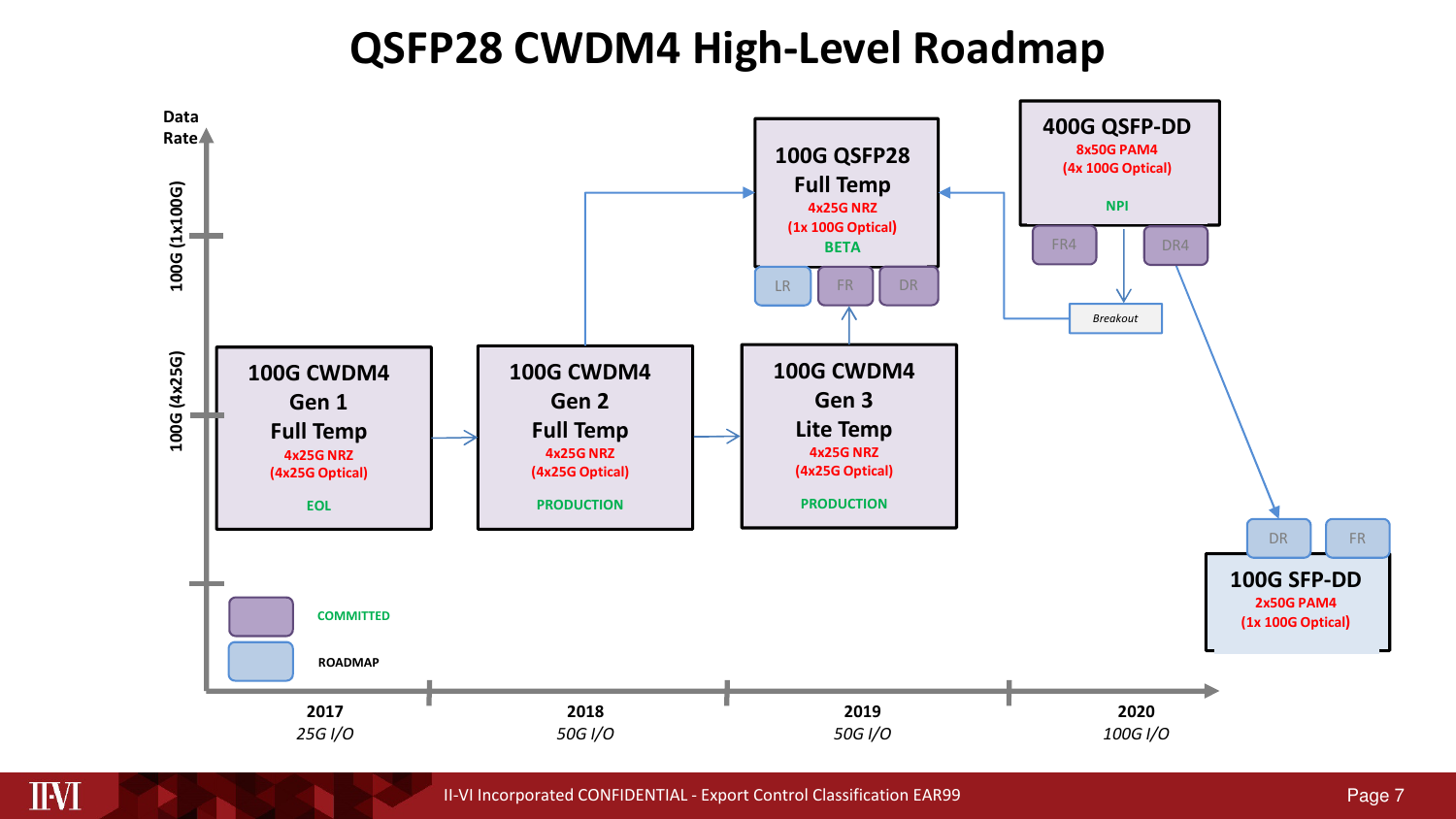### **QSFP28 CWDM4 High-Level Roadmap**



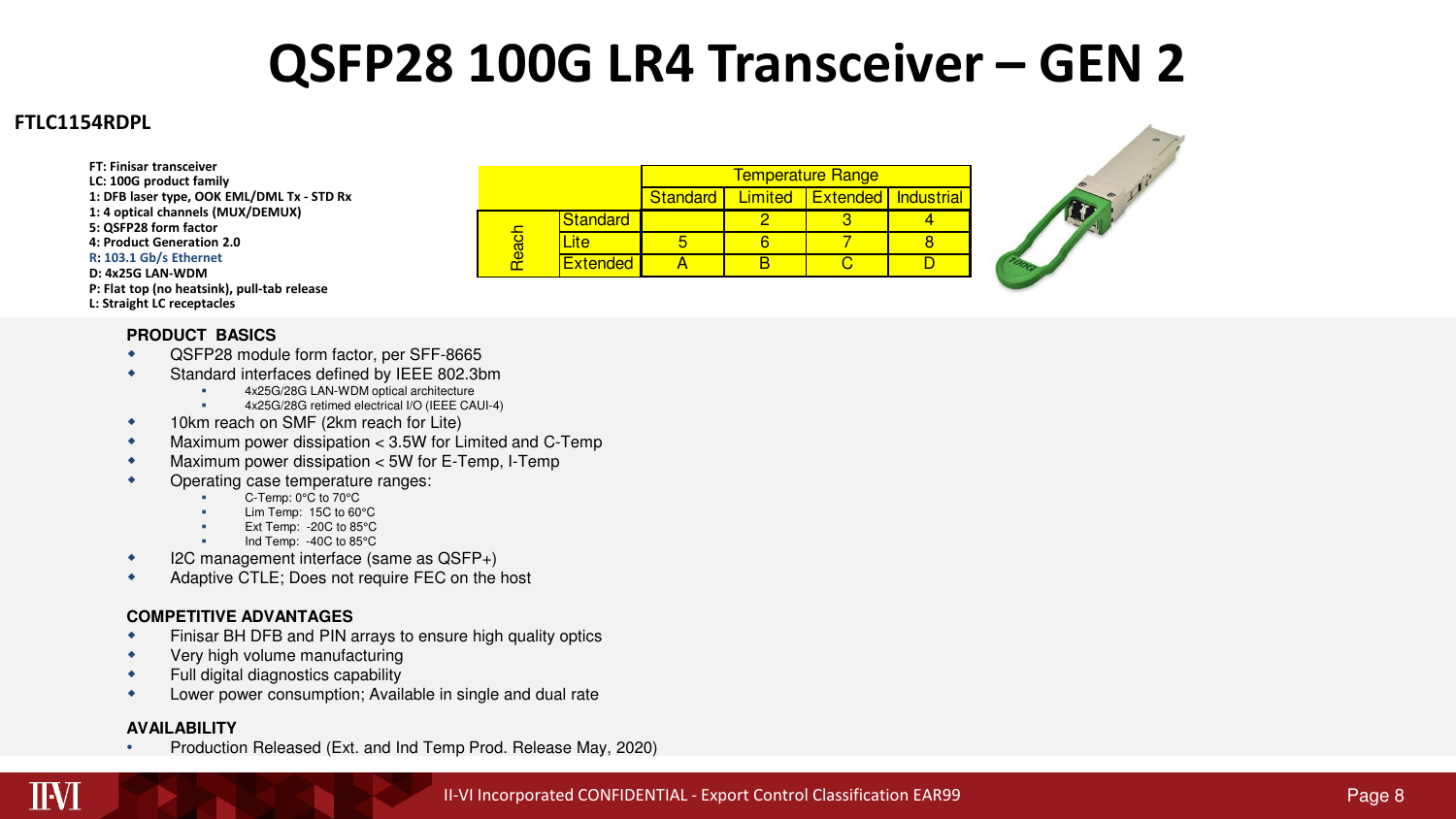### **QSFP28 100G LR4 Transceiver – GEN 2**

Standard <sup>2</sup> 3 <sup>4</sup>

Lite | 5 | 6 | 7 | 8

Extended A B C D<br>
Extended A B C D

**Standard** Limited **Extended** Industrial

Temperature Range

 $8$ 

 $\overline{D}$ 

#### **FTLC1154RDPL**

**LC: 100G product family 1: DFB laser type, OOK EML/DML Tx - STD Rx 1: 4 optical channels (MUX/DEMUX) 5: QSFP28 form factor 4: Product Generation 2.0R: 103.1 Gb/s EthernetD: 4x25G LAN-WDM P: Flat top (no heatsink), pull-tab releaseL: Straight LC receptacles**

**FT: Finisar transceiver**

#### **PRODUCT BASICS**

- QSFP28 module form factor, per SFF-8665  $\bullet$
- $\bullet$  Standard interfaces defined by IEEE 802.3bm
	- 4x25G/28G LAN-WDM optical architecture
	- 4x25G/28G retimed electrical I/O (IEEE CAUI-4) -
- $\bullet$ 10km reach on SMF (2km reach for Lite)
- $\bullet$ Maximum power dissipation < 3.5W for Limited and C-Temp
- $\bullet$ Maximum power dissipation < 5W for E-Temp, I-Temp
- $\bullet$  Operating case temperature ranges:
	- C-Temp: 0°C to 70°C
	- Lim Temp: 15C to 60°C
	- Ext Temp: -20C to 85°C-
	- Ind Temp: -40C to 85°C
- I2C management interface (same as QSFP+)  $\bullet$
- $\bullet$ Adaptive CTLE; Does not require FEC on the host

#### **COMPETITIVE ADVANTAGES**

- Finisar BH DFB and PIN arrays to ensure high quality optics  $\bullet$
- $\bullet$ Very high volume manufacturing
- $\bullet$ Full digital diagnostics capability
- $\bullet$ Lower power consumption; Available in single and dual rate

#### **AVAILABILITY**

 Production Released (Ext. and Ind Temp Prod. Release May, 2020) •



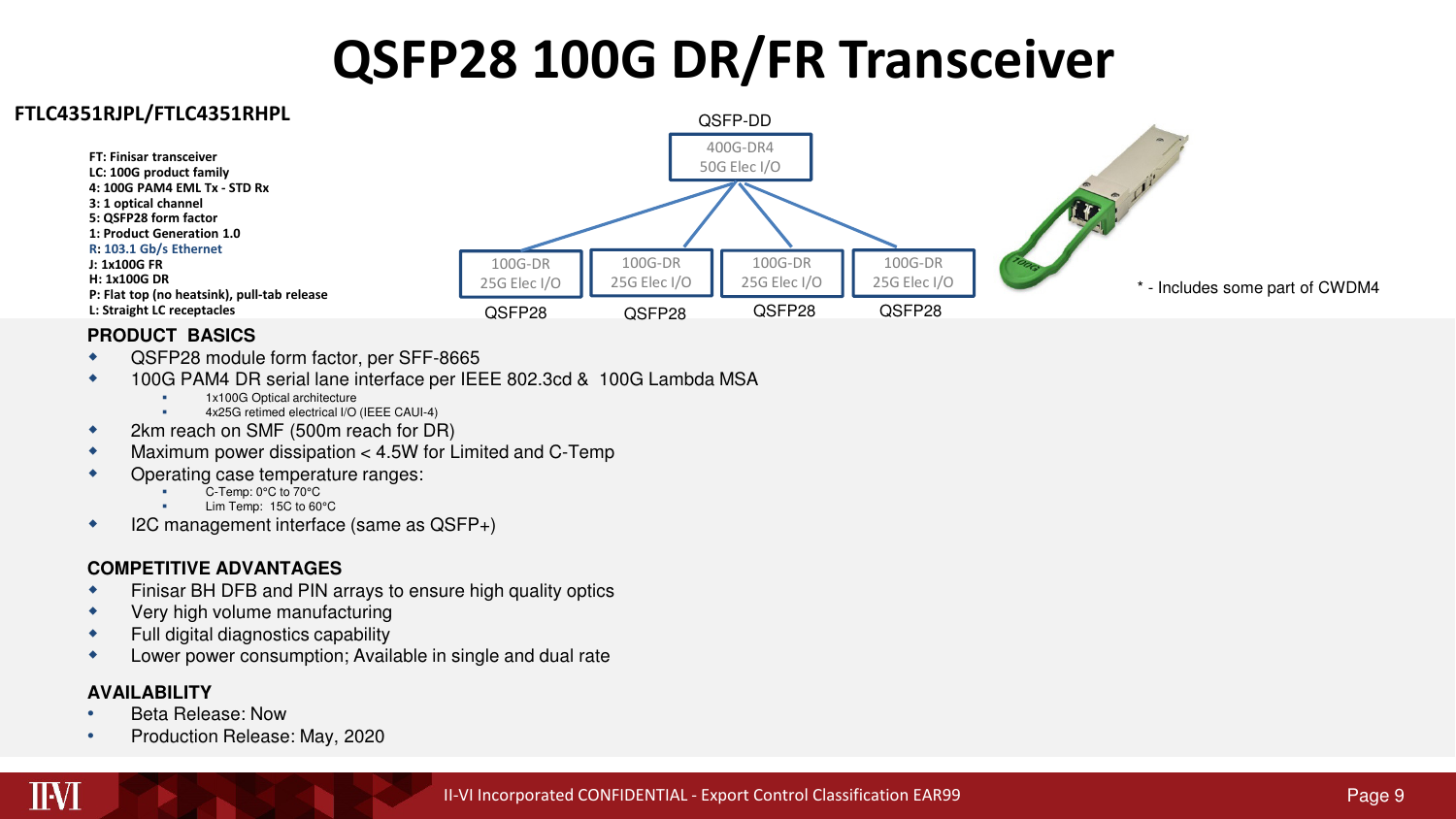# **QSFP28 100G DR/FR Transceiver**



#### **PRODUCT BASICS**

-

-

- QSFP28 module form factor, per SFF-8665  $\bullet$
- $\bullet$  100G PAM4 DR serial lane interface per IEEE 802.3cd & 100G Lambda MSA
	- 1x100G Optical architecture
	- 4x25G retimed electrical I/O (IEEE CAUI-4)
- $\bullet$ 2km reach on SMF (500m reach for DR)
- $\bullet$ Maximum power dissipation < 4.5W for Limited and C-Temp
- $\bullet$  Operating case temperature ranges:
	- C-Temp: 0°C to 70°C
	- Lim Temp: 15C to 60°C
- I2C management interface (same as QSFP+) ٠

#### **COMPETITIVE ADVANTAGES**

- Finisar BH DFB and PIN arrays to ensure high quality optics  $\bullet$
- $\bullet$ Very high volume manufacturing
- $\bullet$ Full digital diagnostics capability
- $\bullet$ Lower power consumption; Available in single and dual rate

#### **AVAILABILITY**

IIVI

- Beta Release: Now •
- Production Release: May, 2020•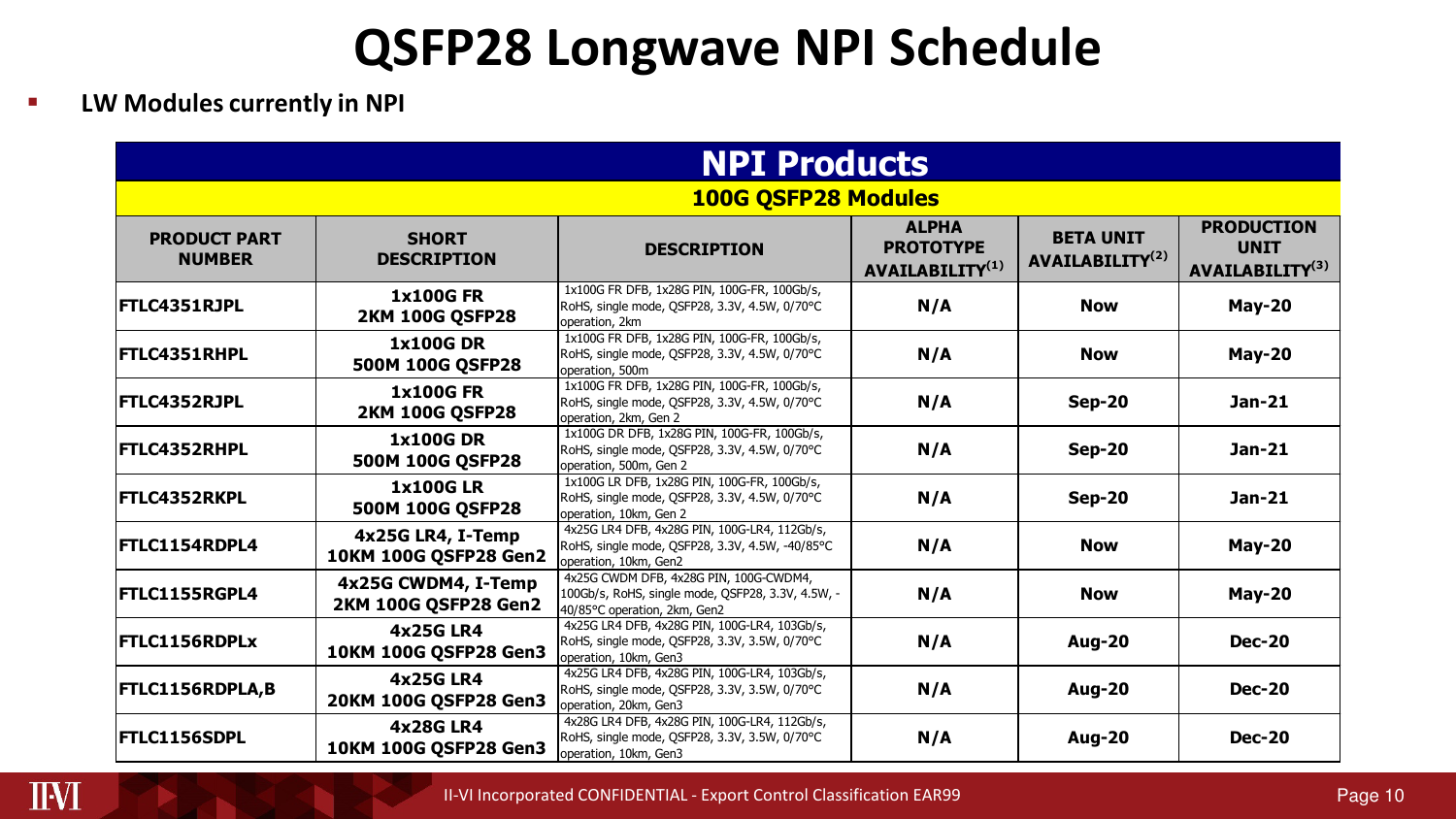### **QSFP28 Longwave NPI Schedule**

-**LW Modules currently in NPI**

| <b>NPI Products</b>                  |                                             |                                                                                                                             |                                                                 |                                                 |                                                                 |  |
|--------------------------------------|---------------------------------------------|-----------------------------------------------------------------------------------------------------------------------------|-----------------------------------------------------------------|-------------------------------------------------|-----------------------------------------------------------------|--|
| <b>100G QSFP28 Modules</b>           |                                             |                                                                                                                             |                                                                 |                                                 |                                                                 |  |
| <b>PRODUCT PART</b><br><b>NUMBER</b> | <b>SHORT</b><br><b>DESCRIPTION</b>          | <b>DESCRIPTION</b>                                                                                                          | <b>ALPHA</b><br><b>PROTOTYPE</b><br>AVAILABILITY <sup>(1)</sup> | <b>BETA UNIT</b><br>AVAILABILITY <sup>(2)</sup> | <b>PRODUCTION</b><br><b>UNIT</b><br>AVAILABILITY <sup>(3)</sup> |  |
| FTLC4351RJPL                         | <b>1x100G FR</b><br><b>2KM 100G OSFP28</b>  | 1x100G FR DFB, 1x28G PIN, 100G-FR, 100Gb/s,<br>RoHS, single mode, OSFP28, 3.3V, 4.5W, 0/70°C<br>operation, 2km              | N/A                                                             | <b>Now</b>                                      | <b>May-20</b>                                                   |  |
| FTLC4351RHPL                         | <b>1x100GDR</b><br>500M 100G QSFP28         | 1x100G FR DFB, 1x28G PIN, 100G-FR, 100Gb/s,<br>RoHS, single mode, QSFP28, 3.3V, 4.5W, 0/70°C<br>operation, 500m             | N/A                                                             | <b>Now</b>                                      | $May-20$                                                        |  |
| FTLC4352RJPL                         | <b>1x100G FR</b><br><b>2KM 100G QSFP28</b>  | 1x100G FR DFB, 1x28G PIN, 100G-FR, 100Gb/s,<br>RoHS, single mode, QSFP28, 3.3V, 4.5W, 0/70°C<br>operation, 2km, Gen 2       | N/A                                                             | $Sep-20$                                        | Jan-21                                                          |  |
| FTLC4352RHPL                         | <b>1x100GDR</b><br>500M 100G OSFP28         | 1x100G DR DFB, 1x28G PIN, 100G-FR, 100Gb/s,<br>RoHS, single mode, QSFP28, 3.3V, 4.5W, 0/70°C<br>operation, 500m, Gen 2      | N/A                                                             | <b>Sep-20</b>                                   | Jan-21                                                          |  |
| FTLC4352RKPL                         | <b>1x100GLR</b><br>500M 100G OSFP28         | 1x100G LR DFB, 1x28G PIN, 100G-FR, 100Gb/s,<br>RoHS, single mode, QSFP28, 3.3V, 4.5W, 0/70°C<br>operation, 10km, Gen 2      | N/A                                                             | <b>Sep-20</b>                                   | Jan-21                                                          |  |
| FTLC1154RDPL4                        | 4x25G LR4, I-Temp<br>10KM 100G QSFP28 Gen2  | 4x25G LR4 DFB, 4x28G PIN, 100G-LR4, 112Gb/s,<br>RoHS, single mode, OSFP28, 3.3V, 4.5W, -40/85°C<br>operation, 10km, Gen2    | N/A                                                             | <b>Now</b>                                      | <b>May-20</b>                                                   |  |
| FTLC1155RGPL4                        | 4x25G CWDM4, I-Temp<br>2KM 100G QSFP28 Gen2 | 4x25G CWDM DFB, 4x28G PIN, 100G-CWDM4,<br>100Gb/s, RoHS, single mode, QSFP28, 3.3V, 4.5W, -<br>40/85°C operation, 2km, Gen2 | N/A                                                             | <b>Now</b>                                      | <b>May-20</b>                                                   |  |
| <b>FTLC1156RDPLx</b>                 | <b>4x25G LR4</b><br>10KM 100G QSFP28 Gen3   | 4x25G LR4 DFB, 4x28G PIN, 100G-LR4, 103Gb/s,<br>RoHS, single mode, QSFP28, 3.3V, 3.5W, 0/70°C<br>loperation, 10km, Gen3     | N/A                                                             | <b>Aug-20</b>                                   | <b>Dec-20</b>                                                   |  |
| FTLC1156RDPLA,B                      | <b>4x25G LR4</b><br>20KM 100G QSFP28 Gen3   | 4x25G LR4 DFB, 4x28G PIN, 100G-LR4, 103Gb/s,<br>RoHS, single mode, QSFP28, 3.3V, 3.5W, 0/70°C<br>operation, 20km, Gen3      | N/A                                                             | <b>Aug-20</b>                                   | <b>Dec-20</b>                                                   |  |
| FTLC1156SDPL                         | <b>4x28G LR4</b><br>10KM 100G QSFP28 Gen3   | 4x28G LR4 DFB, 4x28G PIN, 100G-LR4, 112Gb/s,<br>RoHS, single mode, QSFP28, 3.3V, 3.5W, 0/70°C<br>operation, 10km, Gen3      | N/A                                                             | <b>Aug-20</b>                                   | <b>Dec-20</b>                                                   |  |